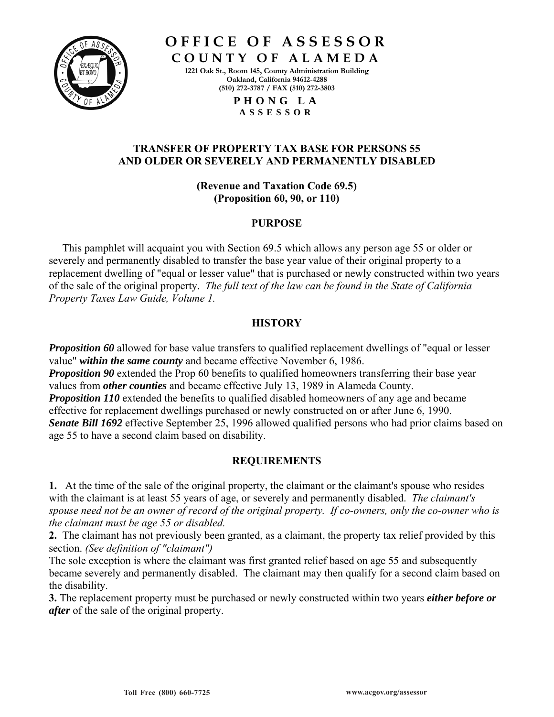

**O F F I C E O F A S S E S S O R** 

**C O U N T Y O F A L A M E D A 1221 Oak St., Room 145, County Administration Building Oakland, California 94612-4288 (510) 272-3787 / FAX (510) 272-3803** 

> **P H O N G L A A S S E S S O R**

## **TRANSFER OF PROPERTY TAX BASE FOR PERSONS 55 AND OLDER OR SEVERELY AND PERMANENTLY DISABLED**

**(Revenue and Taxation Code 69.5) (Proposition 60, 90, or 110)**

## **PURPOSE**

 This pamphlet will acquaint you with Section 69.5 which allows any person age 55 or older or severely and permanently disabled to transfer the base year value of their original property to a replacement dwelling of "equal or lesser value" that is purchased or newly constructed within two years of the sale of the original property. *The full text of the law can be found in the State of California Property Taxes Law Guide, Volume 1.* 

# **HISTORY**

*Proposition 60* allowed for base value transfers to qualified replacement dwellings of "equal or lesser value" *within the same county* and became effective November 6, 1986.

**Proposition 90** extended the Prop 60 benefits to qualified homeowners transferring their base year values from *other counties* and became effective July 13, 1989 in Alameda County. *Proposition 110* extended the benefits to qualified disabled homeowners of any age and became effective for replacement dwellings purchased or newly constructed on or after June 6, 1990. *Senate Bill 1692* effective September 25, 1996 allowed qualified persons who had prior claims based on age 55 to have a second claim based on disability.

# **REQUIREMENTS**

**1.** At the time of the sale of the original property, the claimant or the claimant's spouse who resides with the claimant is at least 55 years of age, or severely and permanently disabled. *The claimant's spouse need not be an owner of record of the original property. If co-owners, only the co-owner who is the claimant must be age 55 or disabled.*

**2.** The claimant has not previously been granted, as a claimant, the property tax relief provided by this section. *(See definition of "claimant")*

The sole exception is where the claimant was first granted relief based on age 55 and subsequently became severely and permanently disabled. The claimant may then qualify for a second claim based on the disability.

**3.** The replacement property must be purchased or newly constructed within two years *either before or after* of the sale of the original property.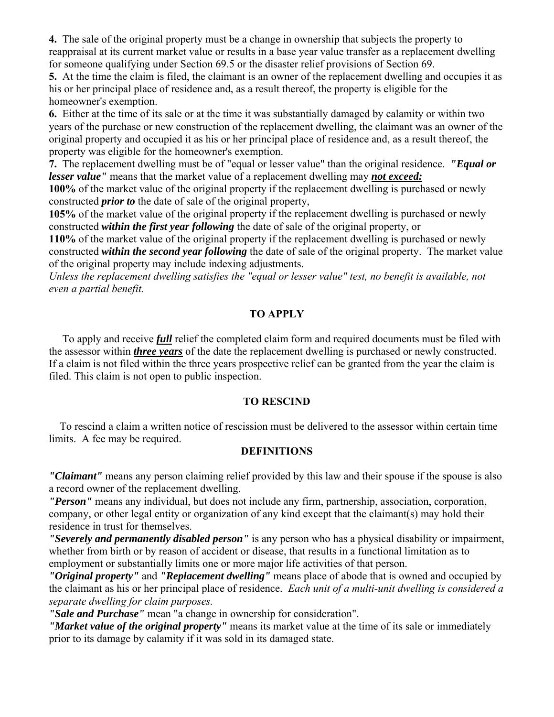**4.** The sale of the original property must be a change in ownership that subjects the property to reappraisal at its current market value or results in a base year value transfer as a replacement dwelling for someone qualifying under Section 69.5 or the disaster relief provisions of Section 69.

**5.** At the time the claim is filed, the claimant is an owner of the replacement dwelling and occupies it as his or her principal place of residence and, as a result thereof, the property is eligible for the homeowner's exemption.

**6.** Either at the time of its sale or at the time it was substantially damaged by calamity or within two years of the purchase or new construction of the replacement dwelling, the claimant was an owner of the original property and occupied it as his or her principal place of residence and, as a result thereof, the property was eligible for the homeowner's exemption.

**7.** The replacement dwelling must be of "equal or lesser value" than the original residence. *"Equal or lesser value"* means that the market value of a replacement dwelling may *not exceed:*

**100%** of the market value of the original property if the replacement dwelling is purchased or newly constructed *prior to* the date of sale of the original property,

**105%** of the market value of the original property if the replacement dwelling is purchased or newly constructed *within the first year following* the date of sale of the original property, or

**110%** of the market value of the original property if the replacement dwelling is purchased or newly constructed *within the second year following* the date of sale of the original property. The market value of the original property may include indexing adjustments.

*Unless the replacement dwelling satisfies the "equal or lesser value" test, no benefit is available, not even a partial benefit.* 

# **TO APPLY**

 To apply and receive *full* relief the completed claim form and required documents must be filed with the assessor within *three years* of the date the replacement dwelling is purchased or newly constructed. If a claim is not filed within the three years prospective relief can be granted from the year the claim is filed. This claim is not open to public inspection.

# **TO RESCIND**

 To rescind a claim a written notice of rescission must be delivered to the assessor within certain time limits. A fee may be required.

# **DEFINITIONS**

*"Claimant"* means any person claiming relief provided by this law and their spouse if the spouse is also a record owner of the replacement dwelling.

*"Person"* means any individual, but does not include any firm, partnership, association, corporation, company, or other legal entity or organization of any kind except that the claimant(s) may hold their residence in trust for themselves.

*"Severely and permanently disabled person"* is any person who has a physical disability or impairment, whether from birth or by reason of accident or disease, that results in a functional limitation as to employment or substantially limits one or more major life activities of that person.

*"Original property"* and *"Replacement dwelling"* means place of abode that is owned and occupied by the claimant as his or her principal place of residence. *Each unit of a multi-unit dwelling is considered a separate dwelling for claim purposes.*

*"Sale and Purchase"* mean "a change in ownership for consideration".

*"Market value of the original property"* means its market value at the time of its sale or immediately prior to its damage by calamity if it was sold in its damaged state.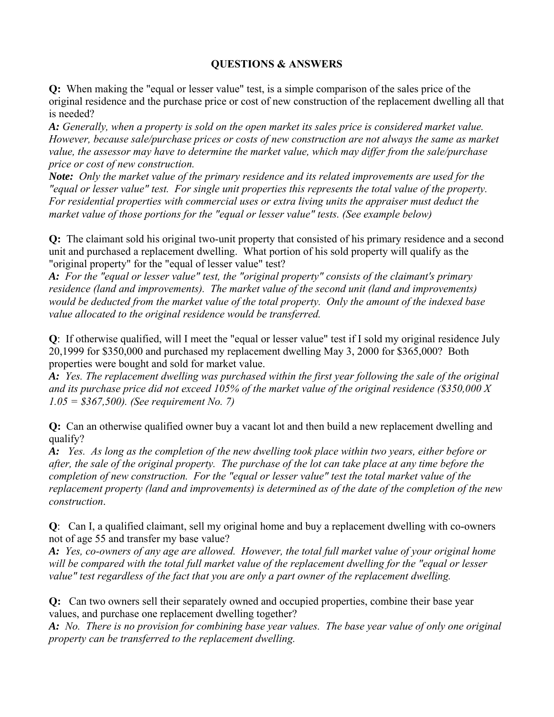# **QUESTIONS & ANSWERS**

**Q:** When making the "equal or lesser value" test, is a simple comparison of the sales price of the original residence and the purchase price or cost of new construction of the replacement dwelling all that is needed?

*A: Generally, when a property is sold on the open market its sales price is considered market value. However, because sale/purchase prices or costs of new construction are not always the same as market value, the assessor may have to determine the market value, which may differ from the sale/purchase price or cost of new construction.*

*Note: Only the market value of the primary residence and its related improvements are used for the "equal or lesser value" test. For single unit properties this represents the total value of the property. For residential properties with commercial uses or extra living units the appraiser must deduct the market value of those portions for the "equal or lesser value" tests. (See example below)*

**Q:** The claimant sold his original two-unit property that consisted of his primary residence and a second unit and purchased a replacement dwelling. What portion of his sold property will qualify as the "original property" for the "equal of lesser value" test?

*A: For the "equal or lesser value" test, the "original property" consists of the claimant's primary residence (land and improvements). The market value of the second unit (land and improvements) would be deducted from the market value of the total property. Only the amount of the indexed base value allocated to the original residence would be transferred.* 

**Q**: If otherwise qualified, will I meet the "equal or lesser value" test if I sold my original residence July 20,1999 for \$350,000 and purchased my replacement dwelling May 3, 2000 for \$365,000? Both properties were bought and sold for market value.

*A: Yes. The replacement dwelling was purchased within the first year following the sale of the original and its purchase price did not exceed 105% of the market value of the original residence (\$350,000 X 1.05 = \$367,500). (See requirement No. 7)* 

**Q:** Can an otherwise qualified owner buy a vacant lot and then build a new replacement dwelling and qualify?

*A: Yes. As long as the completion of the new dwelling took place within two years, either before or after, the sale of the original property. The purchase of the lot can take place at any time before the completion of new construction. For the "equal or lesser value" test the total market value of the replacement property (land and improvements) is determined as of the date of the completion of the new construction*.

**Q**: Can I, a qualified claimant, sell my original home and buy a replacement dwelling with co-owners not of age 55 and transfer my base value?

*A: Yes, co-owners of any age are allowed. However, the total full market value of your original home will be compared with the total full market value of the replacement dwelling for the "equal or lesser value" test regardless of the fact that you are only a part owner of the replacement dwelling.* 

**Q:** Can two owners sell their separately owned and occupied properties, combine their base year values, and purchase one replacement dwelling together?

*A: No. There is no provision for combining base year values. The base year value of only one original property can be transferred to the replacement dwelling.*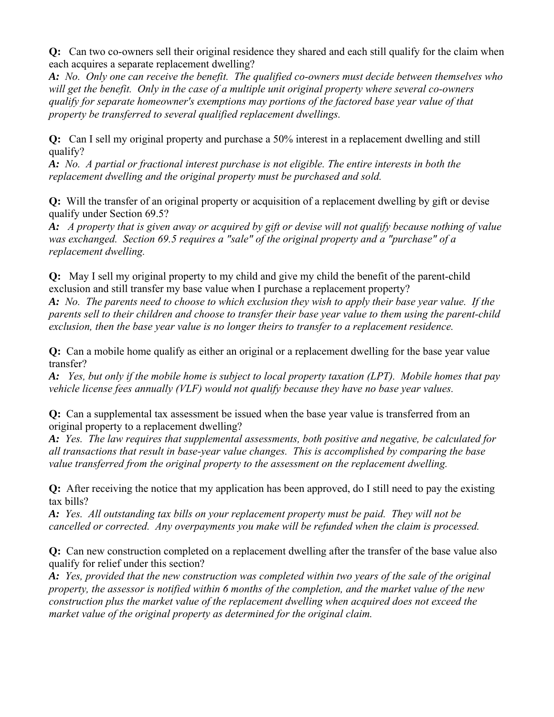**Q:** Can two co-owners sell their original residence they shared and each still qualify for the claim when each acquires a separate replacement dwelling?

*A: No. Only one can receive the benefit. The qualified co-owners must decide between themselves who will get the benefit. Only in the case of a multiple unit original property where several co-owners qualify for separate homeowner's exemptions may portions of the factored base year value of that property be transferred to several qualified replacement dwellings.* 

**Q:** Can I sell my original property and purchase a 50% interest in a replacement dwelling and still qualify?

*A: No. A partial or fractional interest purchase is not eligible. The entire interests in both the replacement dwelling and the original property must be purchased and sold.*

**Q:** Will the transfer of an original property or acquisition of a replacement dwelling by gift or devise qualify under Section 69.5?

*A: A property that is given away or acquired by gift or devise will not qualify because nothing of value was exchanged. Section 69.5 requires a "sale" of the original property and a "purchase" of a replacement dwelling.*

**Q:** May I sell my original property to my child and give my child the benefit of the parent-child exclusion and still transfer my base value when I purchase a replacement property?

*A: No. The parents need to choose to which exclusion they wish to apply their base year value. If the parents sell to their children and choose to transfer their base year value to them using the parent-child exclusion, then the base year value is no longer theirs to transfer to a replacement residence.* 

**Q:** Can a mobile home qualify as either an original or a replacement dwelling for the base year value transfer?

*A: Yes, but only if the mobile home is subject to local property taxation (LPT). Mobile homes that pay vehicle license fees annually (VLF) would not qualify because they have no base year values.*

**Q:** Can a supplemental tax assessment be issued when the base year value is transferred from an original property to a replacement dwelling?

*A: Yes. The law requires that supplemental assessments, both positive and negative, be calculated for all transactions that result in base-year value changes. This is accomplished by comparing the base value transferred from the original property to the assessment on the replacement dwelling.* 

**Q:** After receiving the notice that my application has been approved, do I still need to pay the existing tax bills?

*A: Yes. All outstanding tax bills on your replacement property must be paid. They will not be cancelled or corrected. Any overpayments you make will be refunded when the claim is processed.* 

**Q:** Can new construction completed on a replacement dwelling after the transfer of the base value also qualify for relief under this section?

*A: Yes, provided that the new construction was completed within two years of the sale of the original property, the assessor is notified within 6 months of the completion, and the market value of the new construction plus the market value of the replacement dwelling when acquired does not exceed the market value of the original property as determined for the original claim.*